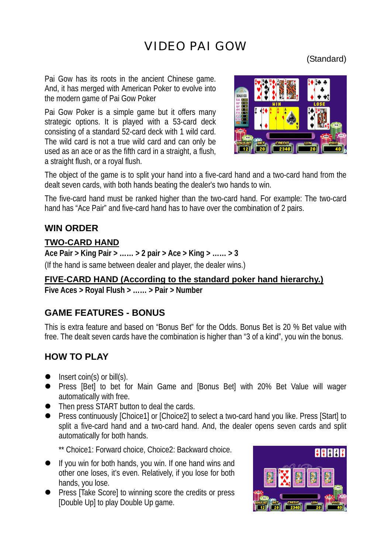# VIDEO PAI GOW

# (Standard)

Pai Gow has its roots in the ancient Chinese game. And, it has merged with American Poker to evolve into the modern game of Pai Gow Poker

Pai Gow Poker is a simple game but it offers many strategic options. It is played with a 53-card deck consisting of a standard 52-card deck with 1 wild card. The wild card is not a true wild card and can only be used as an ace or as the fifth card in a straight, a flush, a straight flush, or a royal flush.



The object of the game is to split your hand into a five-card hand and a two-card hand from the dealt seven cards, with both hands beating the dealer's two hands to win.

The five-card hand must be ranked higher than the two-card hand. For example: The two-card hand has "Ace Pair" and five-card hand has to have over the combination of 2 pairs.

# **WIN ORDER**

## **TWO-CARD HAND**

**Ace Pair > King Pair > …… > 2 pair > Ace > King > …… > 3**  (If the hand is same between dealer and player, the dealer wins.)

## **FIVE-CARD HAND (According to the standard poker hand hierarchy.)**

**Five Aces > Royal Flush > …… > Pair > Number** 

# **GAME FEATURES - BONUS**

This is extra feature and based on "Bonus Bet" for the Odds. Bonus Bet is 20 % Bet value with free. The dealt seven cards have the combination is higher than "3 of a kind", you win the bonus.

# **HOW TO PLAY**

- $\bullet$  Insert coin(s) or bill(s).
- Press [Bet] to bet for Main Game and [Bonus Bet] with 20% Bet Value will wager automatically with free.
- Then press START button to deal the cards.
- Press continuously [Choice1] or [Choice2] to select a two-card hand you like. Press [Start] to split a five-card hand and a two-card hand. And, the dealer opens seven cards and split automatically for both hands.

\*\* Choice1: Forward choice, Choice2: Backward choice.

- If you win for both hands, you win. If one hand wins and other one loses, it's even. Relatively, if you lose for both hands, you lose.
- Press [Take Score] to winning score the credits or press [Double Up] to play Double Up game.

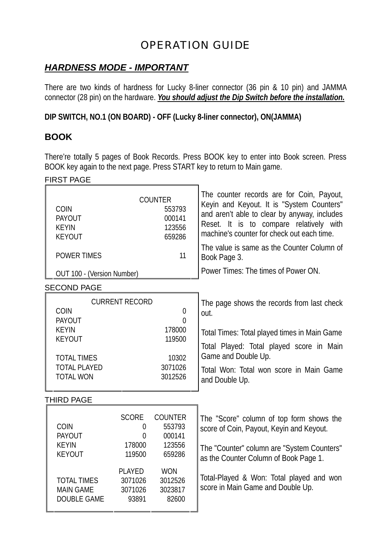# OPERATION GUIDE

# *HARDNESS MODE - IMPORTANT*

There are two kinds of hardness for Lucky 8-liner connector (36 pin & 10 pin) and JAMMA connector (28 pin) on the hardware. *You should adjust the Dip Switch before the installation.*

**DIP SWITCH, NO.1 (ON BOARD) - OFF (Lucky 8-liner connector), ON(JAMMA)** 

## **BOOK**

There're totally 5 pages of Book Records. Press BOOK key to enter into Book screen. Press BOOK key again to the next page. Press START key to return to Main game.

#### FIRST PAGE

| COIN<br><b>PAYOUT</b><br><b>KEYIN</b><br><b>KEYOUT</b>                                                                         |                                                                           | <b>COUNTER</b><br>553793<br>000141<br>123556<br>659286                     | The counter records are for Coin, Payout,<br>Keyin and Keyout. It is "System Counters"<br>and aren't able to clear by anyway, includes<br>Reset. It is to compare relatively with<br>machine's counter for check out each time.    |
|--------------------------------------------------------------------------------------------------------------------------------|---------------------------------------------------------------------------|----------------------------------------------------------------------------|------------------------------------------------------------------------------------------------------------------------------------------------------------------------------------------------------------------------------------|
| <b>POWER TIMES</b>                                                                                                             |                                                                           | 11                                                                         | The value is same as the Counter Column of<br>Book Page 3.                                                                                                                                                                         |
| OUT 100 - (Version Number)                                                                                                     |                                                                           |                                                                            | Power Times: The times of Power ON.                                                                                                                                                                                                |
| <b>SECOND PAGE</b>                                                                                                             |                                                                           |                                                                            |                                                                                                                                                                                                                                    |
| <b>COIN</b><br><b>PAYOUT</b><br><b>KEYIN</b><br><b>KEYOUT</b><br><b>TOTAL TIMES</b><br><b>TOTAL PLAYED</b><br><b>TOTAL WON</b> | <b>CURRENT RECORD</b>                                                     | $\mathbf 0$<br>$\theta$<br>178000<br>119500<br>10302<br>3071026<br>3012526 | The page shows the records from last check<br>out.<br>Total Times: Total played times in Main Game<br>Total Played: Total played score in Main<br>Game and Double Up.<br>Total Won: Total won score in Main Game<br>and Double Up. |
| <b>THIRD PAGE</b>                                                                                                              |                                                                           |                                                                            |                                                                                                                                                                                                                                    |
| <b>COIN</b><br>PAYOUT<br><b>KEYIN</b><br><b>KEYOUT</b>                                                                         | <b>SCORE</b><br>$\theta$<br>$\Omega$<br>178000<br>119500<br><b>PLAYED</b> | <b>COUNTER</b><br>553793<br>000141<br>123556<br>659286<br><b>WON</b>       | The "Score" column of top form shows the<br>score of Coin, Payout, Keyin and Keyout.<br>The "Counter" column are "System Counters"<br>as the Counter Column of Book Page 1.                                                        |
| <b>TOTAL TIMES</b><br><b>MAIN GAME</b><br>DOUBLE GAME                                                                          | 3071026<br>3071026<br>93891                                               | 3012526<br>3023817<br>82600                                                | Total-Played & Won: Total played and won<br>score in Main Game and Double Up.                                                                                                                                                      |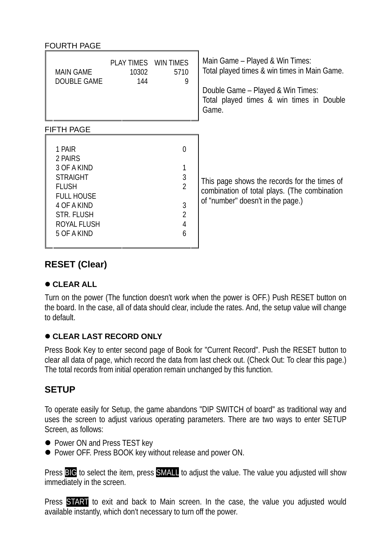| <b>FOURTH PAGE</b>                                                                                                                                  |                                      |                                                                                                       |                                                                                                                                                                           |
|-----------------------------------------------------------------------------------------------------------------------------------------------------|--------------------------------------|-------------------------------------------------------------------------------------------------------|---------------------------------------------------------------------------------------------------------------------------------------------------------------------------|
| <b>MAIN GAME</b><br>DOUBLE GAME                                                                                                                     | PLAY TIMES WIN TIMES<br>10302<br>144 | 5710<br>9                                                                                             | Main Game – Played & Win Times:<br>Total played times & win times in Main Game.<br>Double Game - Played & Win Times:<br>Total played times & win times in Double<br>Game. |
| <b>FIFTH PAGE</b>                                                                                                                                   |                                      |                                                                                                       |                                                                                                                                                                           |
| 1 PAIR<br>2 PAIRS<br>3 OF A KIND<br><b>STRAIGHT</b><br><b>FLUSH</b><br><b>FULL HOUSE</b><br>4 OF A KIND<br>STR. FLUSH<br>ROYAL FLUSH<br>5 OF A KIND |                                      | $\overline{0}$<br>1<br>$\mathfrak{Z}$<br>$\overline{2}$<br>$\mathfrak{Z}$<br>$\overline{2}$<br>4<br>6 | This page shows the records for the times of<br>combination of total plays. (The combination<br>of "number" doesn't in the page.)                                         |

# **RESET (Clear)**

### $\bullet$  **CLEAR ALL**

Turn on the power (The function doesn't work when the power is OFF.) Push RESET button on the board. In the case, all of data should clear, include the rates. And, the setup value will change to default.

## $\bullet$  **CLEAR LAST RECORD ONLY**

Press Book Key to enter second page of Book for "Current Record". Push the RESET button to clear all data of page, which record the data from last check out. (Check Out: To clear this page.) The total records from initial operation remain unchanged by this function.

# **SETUP**

To operate easily for Setup, the game abandons "DIP SWITCH of board" as traditional way and uses the screen to adjust various operating parameters. There are two ways to enter SETUP Screen, as follows:

- Power ON and Press TEST key
- Power OFF. Press BOOK key without release and power ON.

Press **BIG** to select the item, press **SMALL** to adjust the value. The value you adjusted will show immediately in the screen.

Press **START** to exit and back to Main screen. In the case, the value you adjusted would available instantly, which don't necessary to turn off the power.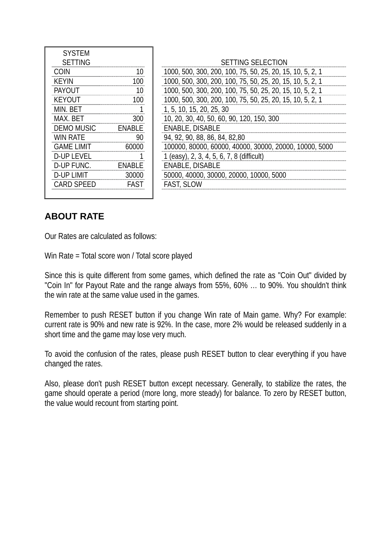| <b>SYSTEM</b>     |                                   |
|-------------------|-----------------------------------|
| <b>SETTING</b>    |                                   |
| COIN              | 1000, 500, 300, 200, 100, 75      |
| KFYIN             | 1000, 500, 300, 200, 100, 75      |
| PAYOUT            | 1000, 500, 300, 200, 100, 75      |
| KEYOUT            | 1000, 500, 300, 200, 100, 75      |
| MIN. BET          | 1, 5, 10, 15, 20, 25, 30          |
| MAX. BET          | 10, 20, 30, 40, 50, 60, 90, 12    |
| <b>DEMO MUSIC</b> | <b>ENABLE, DISABLE</b>            |
| <b>WIN RATE</b>   | 94, 92, 90, 88, 86, 84, 82, 80    |
| <b>GAME LIMIT</b> | 100000, 80000, 60000, 4000        |
| <b>D-UP LEVEL</b> | 1 (easy), 2, 3, 4, 5, 6, 7, 8 (di |
| D-UP FUNC.        | <b>ENABLE, DISABLE</b>            |
| <b>D-UP LIMIT</b> | 50000, 40000, 30000, 2000         |
| <b>CARD SPEED</b> | <b>FAST, SLOW</b>                 |
|                   |                                   |

| <b>SETTING</b>    |               | SETTING SELECTION                                         |
|-------------------|---------------|-----------------------------------------------------------|
| COIN              |               | 1000, 500, 300, 200, 100, 75, 50, 25, 20, 15, 10, 5, 2, 1 |
| <b>KEYIN</b>      | (1()          | 1000, 500, 300, 200, 100, 75, 50, 25, 20, 15, 10, 5, 2, 1 |
| PAYOUT            |               | 1000, 500, 300, 200, 100, 75, 50, 25, 20, 15, 10, 5, 2, 1 |
| KFYOUT            | າດດ           | 1000, 500, 300, 200, 100, 75, 50, 25, 20, 15, 10, 5, 2, 1 |
| MIN. BET          |               | 1, 5, 10, 15, 20, 25, 30                                  |
| MAX. BET          | 300           | 10, 20, 30, 40, 50, 60, 90, 120, 150, 300                 |
| <b>DEMO MUSIC</b> | <b>FNARIF</b> | <b>ENABLE, DISABLE</b>                                    |
| WIN RATE          | 90            | 94, 92, 90, 88, 86, 84, 82, 80                            |
| <b>GAME LIMIT</b> | 60000         | 100000, 80000, 60000, 40000, 30000, 20000, 10000, 5000    |
| <b>D-UP LEVEL</b> |               | 1 (easy), 2, 3, 4, 5, 6, 7, 8 (difficult)                 |
| D-UP FUNC.        | <b>FNARLE</b> | ENABLE, DISABLE                                           |
| D-UP LIMIT        | 30000         | 50000, 40000, 30000, 20000, 10000, 5000                   |
| CARD SPEED        | <b>FAST</b>   | <b>FAST, SLOW</b>                                         |
|                   |               |                                                           |

# **ABOUT RATE**

Our Rates are calculated as follows:

Win Rate = Total score won / Total score played

Since this is quite different from some games, which defined the rate as "Coin Out" divided by "Coin In" for Payout Rate and the range always from 55%, 60% … to 90%. You shouldn't think the win rate at the same value used in the games.

Remember to push RESET button if you change Win rate of Main game. Why? For example: current rate is 90% and new rate is 92%. In the case, more 2% would be released suddenly in a short time and the game may lose very much.

To avoid the confusion of the rates, please push RESET button to clear everything if you have changed the rates.

Also, please don't push RESET button except necessary. Generally, to stabilize the rates, the game should operate a period (more long, more steady) for balance. To zero by RESET button, the value would recount from starting point.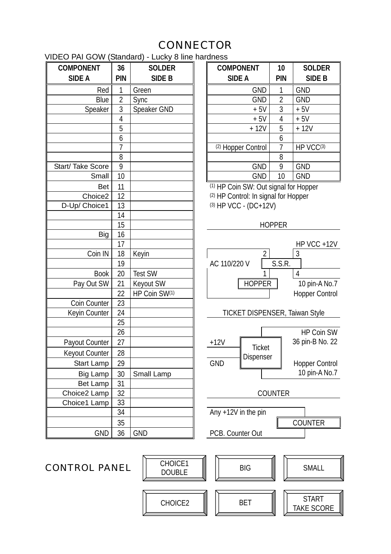# **CONNECTOR**

VIDEO PAI GOW (Standard) - Lucky 8 line hardness

| <b>COMPONENT</b>    | 36             | <b>SOLDER</b>  | <b>COMPONENT</b>                     | 10             | <b>SC</b>       |
|---------------------|----------------|----------------|--------------------------------------|----------------|-----------------|
| <b>SIDE A</b>       | PIN            | SIDE B         | <b>SIDE A</b>                        | PIN            | S               |
| Red                 | 1              | Green          | <b>GND</b>                           | 1              | <b>GND</b>      |
| Blue                | $\overline{2}$ | Sync           | <b>GND</b>                           | $\overline{2}$ | <b>GND</b>      |
| Speaker             | 3              | Speaker GND    | $+5V$                                | $\overline{3}$ | $+5V$           |
|                     | 4              |                | $+5V$                                | $\overline{4}$ | $+5V$           |
|                     | 5              |                | $+12V$                               | 5              | $+12$           |
|                     | 6              |                |                                      | 6              |                 |
|                     | 7              |                | (2) Hopper Control                   | $\overline{1}$ | HP V            |
|                     | 8              |                |                                      | 8              |                 |
| Start/Take Score    | 9              |                | <b>GND</b>                           | 9              | <b>GND</b>      |
| Small               | 10             |                | <b>GND</b>                           | 10             | <b>GND</b>      |
| <b>Bet</b>          | 11             |                | (1) HP Coin SW: Out signal for Hopp  |                |                 |
| Choice <sub>2</sub> | 12             |                | (2) HP Control: In signal for Hopper |                |                 |
| D-Up/ Choice1       | 13             |                | (3) HP VCC - (DC+12V)                |                |                 |
|                     | 14             |                |                                      |                |                 |
|                     | 15             |                |                                      | <b>HOPPER</b>  |                 |
| Big                 | 16             |                |                                      |                |                 |
|                     | 17             |                |                                      |                | HP V            |
| Coin IN             | 18             | Keyin          |                                      |                | 3               |
|                     | 19             |                | AC 110/220 V                         | S.S.R.         |                 |
| <b>Book</b>         | 20             | <b>Test SW</b> |                                      |                | 4               |
| Pay Out SW          | 21             | Keyout SW      | <b>HOPPER</b>                        |                | 10 <sub>p</sub> |
|                     | 22             | HP Coin SW(1)  |                                      |                | Hoppe           |
| Coin Counter        | 23             |                |                                      |                |                 |
| Keyin Counter       | 24             |                | TICKET DISPENSER, Taiwan :           |                |                 |
|                     | 25             |                |                                      |                |                 |
|                     | 26             |                |                                      |                | <b>HP</b>       |
| Payout Counter      | 27             |                | $+12V$<br><b>Ticket</b>              |                | 36 pin          |
| Keyout Counter      | 28             |                | Dispenser                            |                |                 |
| <b>Start Lamp</b>   | 29             |                | <b>GND</b>                           |                | Hoppe           |
| <b>Big Lamp</b>     | 30             | Small Lamp     |                                      |                | 10 p            |
| Bet Lamp            | 31             |                |                                      |                |                 |
| Choice2 Lamp        | 32             |                |                                      | <b>COUNTER</b> |                 |
| Choice1 Lamp        | 33             |                |                                      |                |                 |
|                     | 34             |                | Any $+12V$ in the pin                |                |                 |
|                     | 35             |                |                                      |                | COUN            |
| <b>GND</b>          | 36             | <b>GND</b>     | PCB. Counter Out                     |                |                 |
|                     |                |                |                                      |                |                 |

|        | .<br>---------<br>---- |               |  |                    |                |               |
|--------|------------------------|---------------|--|--------------------|----------------|---------------|
| NT     | 36                     | <b>SOLDER</b> |  | <b>COMPONENT</b>   | 10             | <b>SOLDER</b> |
|        | <b>PIN</b>             | <b>SIDE B</b> |  | <b>SIDE A</b>      | <b>PIN</b>     | SIDE B        |
| Red    |                        | Green         |  | <b>GND</b>         |                | <b>GND</b>    |
| Blue   | 2                      | <b>Sync</b>   |  | <b>GND</b>         | $\overline{2}$ | <b>GND</b>    |
| peaker | 3                      | Speaker GND   |  | $+5V$              | 3              | $+5V$         |
|        | 4                      |               |  | $+5V$              | 4              | $+5V$         |
|        | 5                      |               |  | $+12V$             | 5              | $+12V$        |
|        | 6                      |               |  |                    | 6              |               |
|        |                        |               |  | (2) Hopper Control |                | HP VCC(3)     |
|        | 8                      |               |  |                    | 8              |               |
| Score  | 9                      |               |  | <b>GND</b>         | 9              | <b>GND</b>    |
| Small  | 10                     |               |  | <b>GND</b>         | 10             | <b>GND</b>    |

(1) HP Coin SW: Out signal for Hopper  $(2)$  HP Control: In signal for Hopper  $(3)$  HP VCC - (DC+12V)



CHOICE2  $\|\|$  BET  $\|\|$  START

TAKE SCORE

CHOICE1<br>DOUBLE